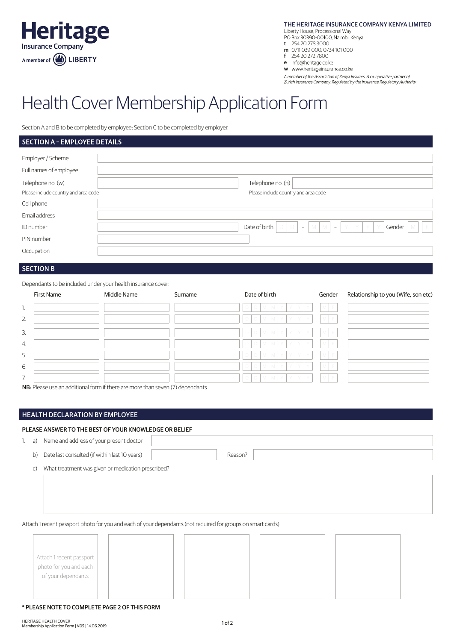

THE HERITAGE INSURANCE COMPANY KENYA LIMITED

Liberty House, Processional Way

- 
- t 254 20 278 3000
- m 0711 039 000, 0734 101 000 f 254 20 272 7800
- e info@heritage.co.ke

w www.heritageinsurance.co.ke

A member of the Association of Kenya Insurers. A co-operative partner of Zurich Insurance Company. Regulated by the Insurance Regulatory Authority

# Health Cover Membership Application Form

Section A and B to be completed by employee; Section C to be completed by employer.

### **SECTION A - EMPLOYEE DETAILS**

| Employer / Scheme                    |                                                                                          |
|--------------------------------------|------------------------------------------------------------------------------------------|
| Full names of employee               |                                                                                          |
| Telephone no. (w)                    | Telephone no. (h)                                                                        |
| Please include country and area code | Please include country and area code                                                     |
| Cell phone                           |                                                                                          |
| Email address                        |                                                                                          |
| ID number                            | Date of birth $\begin{bmatrix} D & D & -M & M & -N & Y & Y \end{bmatrix}$<br>Gender<br>M |
| PIN number                           |                                                                                          |
| Occupation                           |                                                                                          |
|                                      |                                                                                          |

## SECTION B

Dependants to be included under your health insurance cover:

|                  | First Name | Middle Name | Surname | Date of birth                           | Gender                 | Relationship to you (Wife, son etc) |
|------------------|------------|-------------|---------|-----------------------------------------|------------------------|-------------------------------------|
| 1.               |            |             |         | MYYY<br>M I<br>$D$ $D$<br>Y             | M<br>F                 |                                     |
| 2.               |            |             |         | M<br>-Y I<br>M<br>Y Y<br>Y<br>D         | M<br>F                 |                                     |
| 3.               |            |             |         | M<br>Y<br>M<br>$\Box$<br>Y.<br>Y<br>Y   | $\mathbbmss{M}$ .<br>F |                                     |
| $\overline{4}$ . |            |             |         | M<br>$\Box$<br>M<br>Y<br>Y.<br>Y<br>Y   | M<br>F                 |                                     |
| 5.               |            |             |         | $\Box$<br>M<br>M<br>Y<br>Y.<br>Y.<br>Y  | M I<br>F               |                                     |
| 6.               |            |             |         | M<br>Y<br>Y<br>Y<br>D.<br>Y             | M.                     |                                     |
| 7.               |            |             |         | M<br>Y<br>D<br>M.<br>Y Y<br>Y<br>$\Box$ | M.<br>F                |                                     |

NB: Please use an additional form if there are more than seven (7) dependants

## HEALTH DECLARATION BY EMPLOYEE

#### PLEASE ANSWER TO THE BEST OF YOUR KNOWLEDGE OR BELIEF

1. a) Name and address of your present doctor

b) Date last consulted (if within last 10 years) and the state of the Reason?

c) What treatment was given or medication prescribed?

Attach 1 recent passport photo for you and each of your dependants (not required for groups on smart cards)

| Attach 1 recent passport<br>photo for you and each<br>of your dependants |  |  |  |  |
|--------------------------------------------------------------------------|--|--|--|--|
|                                                                          |  |  |  |  |

#### \* PLEASE NOTE TO COMPLETE PAGE 2 OF THIS FORM